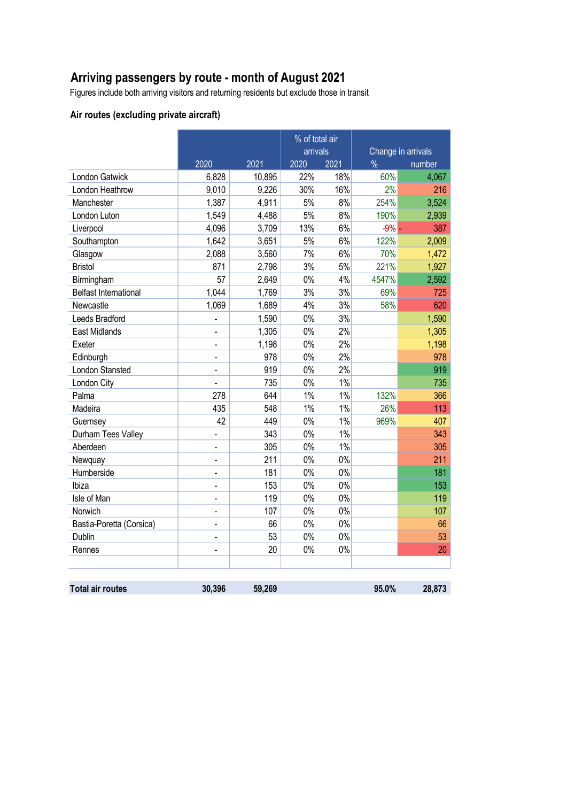# **Arriving passengers by route - month of August 2021**

Figures include both arriving visitors and returning residents but exclude those in transit

### **Air routes (excluding private aircraft)**

|                              |                              |                      | % of total air<br>arrivals |       | Change in arrivals |        |  |
|------------------------------|------------------------------|----------------------|----------------------------|-------|--------------------|--------|--|
|                              |                              | 2020<br>2021<br>2020 |                            | 2021  | $\frac{0}{0}$      | number |  |
| London Gatwick               | 6,828                        | 10,895               | 22%                        | 18%   | 60%                | 4,067  |  |
| London Heathrow              | 9,010                        | 9,226                | 30%                        | 16%   | 2%                 | 216    |  |
| Manchester                   | 1,387                        | 4,911                | 5%                         | 8%    | 254%               | 3,524  |  |
| London Luton                 | 1,549                        | 4,488                | 5%                         | 8%    | 190%               | 2,939  |  |
| Liverpool                    | 4,096                        | 3,709                | 13%                        | 6%    | $-9%$              | 387    |  |
| Southampton                  | 1,642                        | 3,651                | 5%                         | 6%    | 122%               | 2,009  |  |
| Glasgow                      | 2,088                        | 3,560                | 7%                         | 6%    | 70%                | 1,472  |  |
| <b>Bristol</b>               | 871                          | 2,798                | 3%                         | 5%    | 221%               | 1,927  |  |
| Birmingham                   | 57                           | 2,649                | 0%                         | 4%    | 4547%              | 2,592  |  |
| <b>Belfast International</b> | 1,044                        | 1,769                | 3%                         | 3%    | 69%                | 725    |  |
| Newcastle                    | 1,069                        | 1,689                | 4%                         | 3%    | 58%                | 620    |  |
| Leeds Bradford               | $\overline{a}$               | 1,590                | $0\%$                      | 3%    |                    | 1,590  |  |
| <b>East Midlands</b>         | $\bar{\phantom{a}}$          | 1,305                | $0\%$                      | 2%    |                    | 1,305  |  |
| Exeter                       | L,                           | 1,198                | 0%                         | 2%    |                    | 1,198  |  |
| Edinburgh                    |                              | 978                  | $0\%$                      | 2%    |                    | 978    |  |
| London Stansted              |                              | 919                  | 0%                         | 2%    |                    | 919    |  |
| London City                  |                              | 735                  | $0\%$                      | 1%    |                    | 735    |  |
| Palma                        | 278                          | 644                  | $1\%$                      | $1\%$ | 132%               | 366    |  |
| Madeira                      | 435                          | 548                  | 1%                         | 1%    | 26%                | 113    |  |
| Guernsey                     | 42                           | 449                  | $0\%$                      | 1%    | 969%               | 407    |  |
| Durham Tees Valley           |                              | 343                  | $0\%$                      | 1%    |                    | 343    |  |
| Aberdeen                     | $\blacksquare$               | 305                  | 0%                         | 1%    |                    | 305    |  |
| Newquay                      | $\blacksquare$               | 211                  | $0\%$                      | $0\%$ |                    | 211    |  |
| Humberside                   | $\qquad \qquad \blacksquare$ | 181                  | $0\%$                      | $0\%$ |                    | 181    |  |
| Ibiza                        | $\blacksquare$               | 153                  | $0\%$                      | $0\%$ |                    | 153    |  |
| Isle of Man                  | $\blacksquare$               | 119                  | 0%                         | 0%    |                    | 119    |  |
| Norwich                      | $\frac{1}{2}$                | 107                  | 0%                         | 0%    |                    | 107    |  |
| Bastia-Poretta (Corsica)     |                              | 66                   | $0\%$                      | 0%    |                    | 66     |  |
| Dublin                       | L.                           | 53                   | $0\%$                      | $0\%$ |                    | 53     |  |
| Rennes                       |                              | 20                   | $0\%$                      | 0%    |                    | 20     |  |
|                              |                              |                      |                            |       |                    |        |  |
| <b>Total air routes</b>      | 30,396                       | 59,269               |                            |       | 95.0%              | 28,873 |  |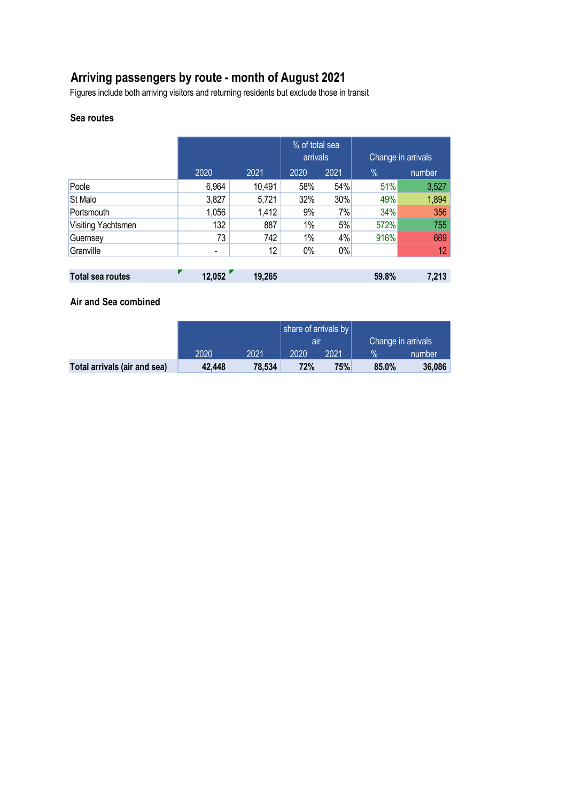# **Arriving passengers by route - month of August 2021**

Figures include both arriving visitors and returning residents but exclude those in transit

#### **Sea routes**

|                         |                          |                 | % of total sea<br>arrivals |       | Change in arrivals |        |  |
|-------------------------|--------------------------|-----------------|----------------------------|-------|--------------------|--------|--|
|                         | 2020                     | 2021            | 2020                       | 2021  | $\frac{0}{0}$      | number |  |
| Poole                   | 6,964                    | 10,491          | 58%                        | 54%   | 51%                | 3,527  |  |
| <b>St Malo</b>          | 3,827                    | 5,721           | 32%                        | 30%   | 49%                | 1,894  |  |
| Portsmouth              | 1,056                    | 1,412           | 9%                         | 7%    | 34%                | 356    |  |
| Visiting Yachtsmen      | 132                      | 887             | 1%                         | 5%    | 572%               | 755    |  |
| Guernsey                | 73                       | 742             | 1%                         | 4%    | 916%               | 669    |  |
| Granville               | $\overline{\phantom{a}}$ | 12 <sup>°</sup> | 0%                         | $0\%$ |                    | 12     |  |
|                         |                          |                 |                            |       |                    |        |  |
| <b>Total sea routes</b> | 12,052                   | 19,265          |                            |       | 59.8%              | 7,213  |  |

#### **Air and Sea combined**

|                              |        |        | share of arrivals by |      |                    |        |
|------------------------------|--------|--------|----------------------|------|--------------------|--------|
|                              |        |        | air                  |      | Change in arrivals |        |
|                              | 2020   | 2021   | 2020                 | 2021 | $\%$               | number |
| Total arrivals (air and sea) | 42,448 | 78,534 | <b>72%</b>           | 75%  | 85.0%              | 36,086 |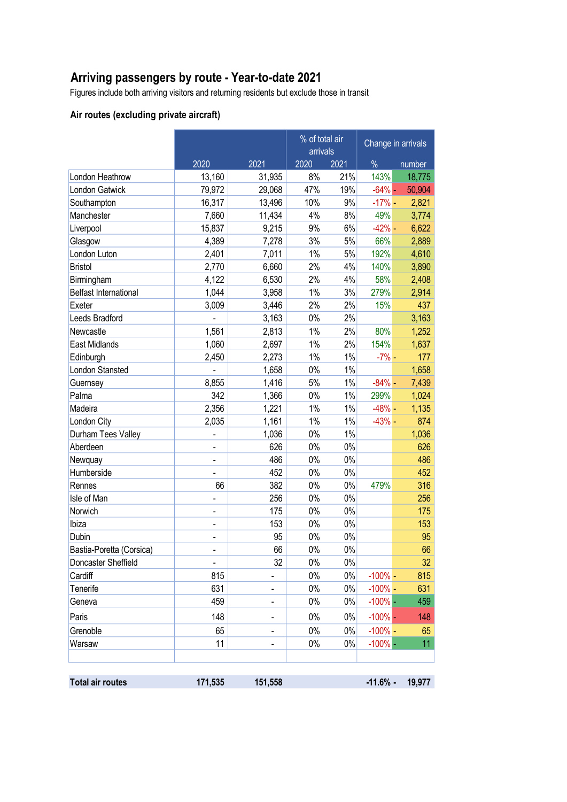# **Arriving passengers by route - Year-to-date 2021**

Figures include both arriving visitors and returning residents but exclude those in transit

### **Air routes (excluding private aircraft)**

|                              |                | % of total air<br>arrivals   |       |       | Change in arrivals |        |
|------------------------------|----------------|------------------------------|-------|-------|--------------------|--------|
|                              | 2020           | 2021                         | 2020  | 2021  | $\%$               | number |
| London Heathrow              | 13,160         | 31,935                       | 8%    | 21%   | 143%               | 18,775 |
| <b>London Gatwick</b>        | 79,972         | 29,068                       | 47%   | 19%   | $-64% -$           | 50,904 |
| Southampton                  | 16,317         | 13,496                       | 10%   | 9%    | $-17%$ -           | 2,821  |
| Manchester                   | 7,660          | 11,434                       | 4%    | 8%    | 49%                | 3,774  |
| Liverpool                    | 15,837         | 9,215                        | 9%    | 6%    | $-42%$ -           | 6,622  |
| Glasgow                      | 4,389          | 7,278                        | 3%    | 5%    | 66%                | 2,889  |
| London Luton                 | 2,401          | 7,011                        | $1\%$ | $5%$  | 192%               | 4,610  |
| <b>Bristol</b>               | 2,770          | 6,660                        | 2%    | 4%    | 140%               | 3,890  |
| Birmingham                   | 4,122          | 6,530                        | 2%    | 4%    | 58%                | 2,408  |
| <b>Belfast International</b> | 1,044          | 3,958                        | 1%    | 3%    | 279%               | 2,914  |
| Exeter                       | 3,009          | 3,446                        | 2%    | 2%    | 15%                | 437    |
| Leeds Bradford               |                | 3,163                        | $0\%$ | 2%    |                    | 3,163  |
| Newcastle                    | 1,561          | 2,813                        | 1%    | 2%    | 80%                | 1,252  |
| <b>East Midlands</b>         | 1,060          | 2,697                        | 1%    | 2%    | 154%               | 1,637  |
| Edinburgh                    | 2,450          | 2,273                        | $1\%$ | $1\%$ | $-7%$ -            | 177    |
| London Stansted              |                | 1,658                        | $0\%$ | 1%    |                    | 1,658  |
| Guernsey                     | 8,855          | 1,416                        | 5%    | 1%    | $-84%$ -           | 7,439  |
| Palma                        | 342            | 1,366                        | $0\%$ | 1%    | 299%               | 1,024  |
| Madeira                      | 2,356          | 1,221                        | 1%    | $1\%$ | $-48%$ -           | 1,135  |
| London City                  | 2,035          | 1,161                        | $1\%$ | 1%    | $-43%$ -           | 874    |
| Durham Tees Valley           |                | 1,036                        | $0\%$ | 1%    |                    | 1,036  |
| Aberdeen                     | $\blacksquare$ | 626                          | 0%    | $0\%$ |                    | 626    |
| Newquay                      |                | 486                          | $0\%$ | $0\%$ |                    | 486    |
| Humberside                   |                | 452                          | $0\%$ | $0\%$ |                    | 452    |
| Rennes                       | 66             | 382                          | $0\%$ | $0\%$ | 479%               | 316    |
| Isle of Man                  | $\overline{a}$ | 256                          | $0\%$ | $0\%$ |                    | 256    |
| Norwich                      |                | 175                          | $0\%$ | $0\%$ |                    | 175    |
| Ibiza                        | $\overline{a}$ | 153                          | $0\%$ | $0\%$ |                    | 153    |
| Dubin                        |                | 95                           | $0\%$ | 0%    |                    | 95     |
| Bastia-Poretta (Corsica)     | $\blacksquare$ | 66                           | 0%    | $0\%$ |                    | 66     |
| Doncaster Sheffield          |                | 32                           | 0%    | $0\%$ |                    | 32     |
| Cardiff                      | 815            |                              | $0\%$ | $0\%$ | $-100%$            | 815    |
| Tenerife                     | 631            |                              | $0\%$ | $0\%$ | $-100%$            | 631    |
| Geneva                       | 459            | $\qquad \qquad \blacksquare$ | $0\%$ | $0\%$ | $-100%$ –          | 459    |
| Paris                        | 148            | $\qquad \qquad \blacksquare$ | $0\%$ | 0%    | $-100%$            | 148    |
| Grenoble                     | 65             |                              | $0\%$ | $0\%$ | $-100%$            | 65     |
| Warsaw                       | 11             |                              | $0\%$ | $0\%$ | $-100%$ -          | 11     |
| <b>Total air routes</b>      | 171,535        | 151,558                      |       |       | $-11.6%$ -         | 19,977 |
|                              |                |                              |       |       |                    |        |